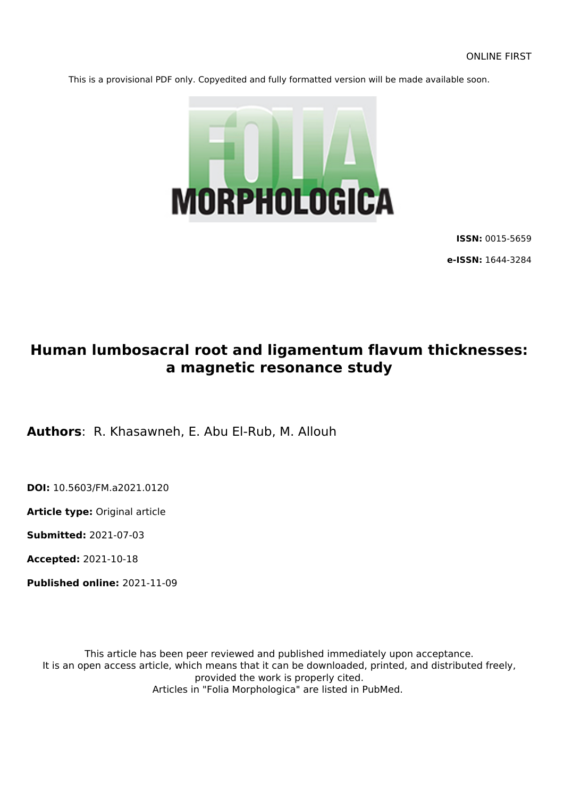This is a provisional PDF only. Copyedited and fully formatted version will be made available soon.



**ISSN:** 0015-5659

**e-ISSN:** 1644-3284

# **Human lumbosacral root and ligamentum flavum thicknesses: a magnetic resonance study**

**Authors**: R. Khasawneh, E. Abu El-Rub, M. Allouh

**DOI:** 10.5603/FM.a2021.0120

**Article type:** Original article

**Submitted:** 2021-07-03

**Accepted:** 2021-10-18

**Published online:** 2021-11-09

This article has been peer reviewed and published immediately upon acceptance. It is an open access article, which means that it can be downloaded, printed, and distributed freely, provided the work is properly cited. Articles in "Folia Morphologica" are listed in PubMed.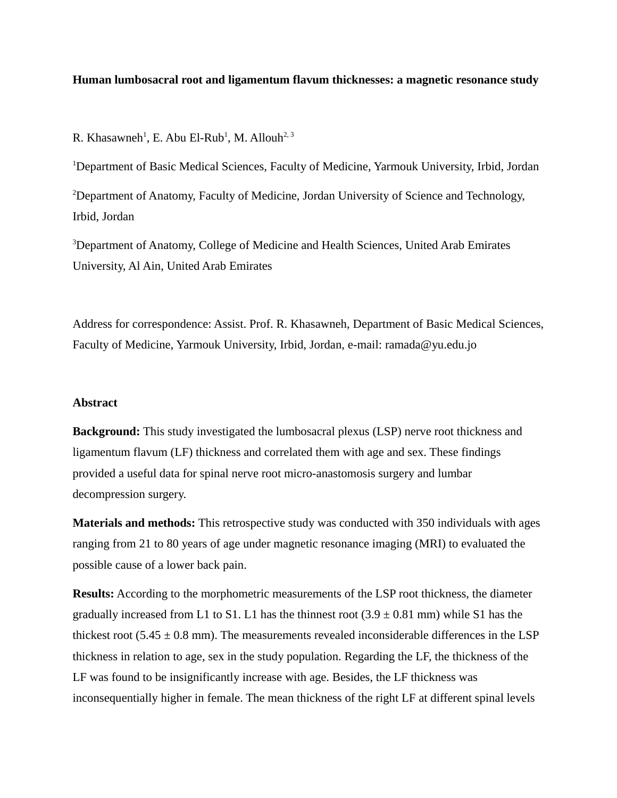### **Human lumbosacral root and ligamentum flavum thicknesses: a magnetic resonance study**

R. Khasawneh $^1$ , E. Abu El-Rub $^1$ , M. Allouh $^{2,3}$ 

<sup>1</sup>Department of Basic Medical Sciences, Faculty of Medicine, Yarmouk University, Irbid, Jordan <sup>2</sup>Department of Anatomy, Faculty of Medicine, Jordan University of Science and Technology, Irbid, Jordan

<sup>3</sup>Department of Anatomy, College of Medicine and Health Sciences, United Arab Emirates University, Al Ain, United Arab Emirates

Address for correspondence: Assist. Prof. R. Khasawneh, Department of Basic Medical Sciences, Faculty of Medicine, Yarmouk University, Irbid, Jordan, e-mail: ramada $\omega$ yu.edu.jo

#### **Abstract**

**Background:** This study investigated the lumbosacral plexus (LSP) nerve root thickness and ligamentum flavum (LF) thickness and correlated them with age and sex. These findings provided a useful data for spinal nerve root micro-anastomosis surgery and lumbar decompression surgery.

**Materials and methods:** This retrospective study was conducted with 350 individuals with ages ranging from 21 to 80 years of age under magnetic resonance imaging (MRI) to evaluated the possible cause of a lower back pain.

**Results:** According to the morphometric measurements of the LSP root thickness, the diameter gradually increased from L1 to S1. L1 has the thinnest root  $(3.9 \pm 0.81$  mm) while S1 has the thickest root (5.45  $\pm$  0.8 mm). The measurements revealed inconsiderable differences in the LSP thickness in relation to age, sex in the study population. Regarding the LF, the thickness of the LF was found to be insignificantly increase with age. Besides, the LF thickness was inconsequentially higher in female. The mean thickness of the right LF at different spinal levels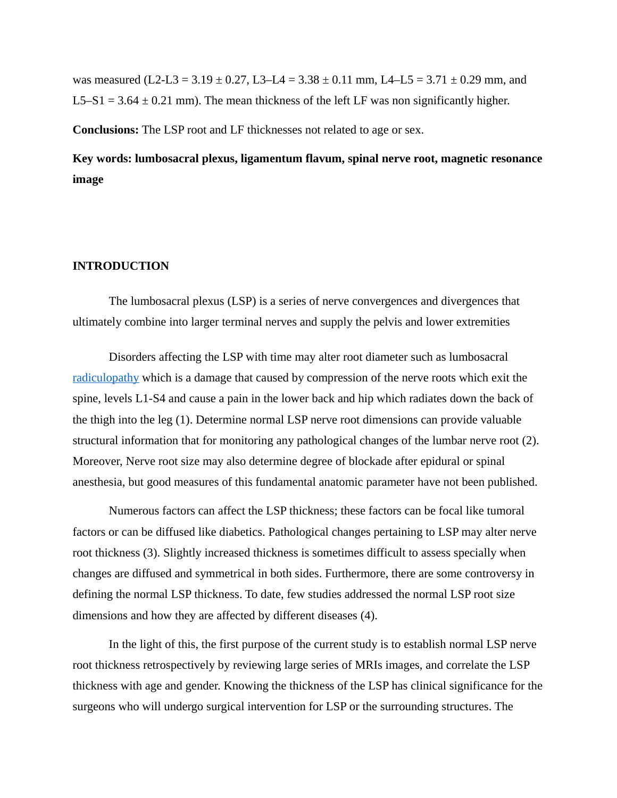was measured (L2-L3 =  $3.19 \pm 0.27$ , L3-L4 =  $3.38 \pm 0.11$  mm, L4-L5 =  $3.71 \pm 0.29$  mm, and  $L5-S1 = 3.64 \pm 0.21$  mm). The mean thickness of the left LF was non significantly higher.

**Conclusions:** The LSP root and LF thicknesses not related to age or sex.

**Key words: lumbosacral plexus, ligamentum flavum, spinal nerve root, magnetic resonance image**

## **INTRODUCTION**

The lumbosacral plexus (LSP) is a series of nerve convergences and divergences that ultimately combine into larger terminal nerves and supply the pelvis and lower extremities

Disorders affecting the LSP with time may alter root diameter such as lumbosacral [radiculopathy](https://www.physio-pedia.com/Radiculopathy) which is a damage that caused by compression of the nerve roots which exit the spine, levels L1-S4 and cause a pain in the lower back and hip which radiates down the back of the thigh into the leg (1). Determine normal LSP nerve root dimensions can provide valuable structural information that for monitoring any pathological changes of the lumbar nerve root (2). Moreover, Nerve root size may also determine degree of blockade after epidural or spinal anesthesia, but good measures of this fundamental anatomic parameter have not been published.

Numerous factors can affect the LSP thickness; these factors can be focal like tumoral factors or can be diffused like diabetics. Pathological changes pertaining to LSP may alter nerve root thickness (3). Slightly increased thickness is sometimes difficult to assess specially when changes are diffused and symmetrical in both sides. Furthermore, there are some controversy in defining the normal LSP thickness. To date, few studies addressed the normal LSP root size dimensions and how they are affected by different diseases (4).

In the light of this, the first purpose of the current study is to establish normal LSP nerve root thickness retrospectively by reviewing large series of MRIs images, and correlate the LSP thickness with age and gender. Knowing the thickness of the LSP has clinical significance for the surgeons who will undergo surgical intervention for LSP or the surrounding structures. The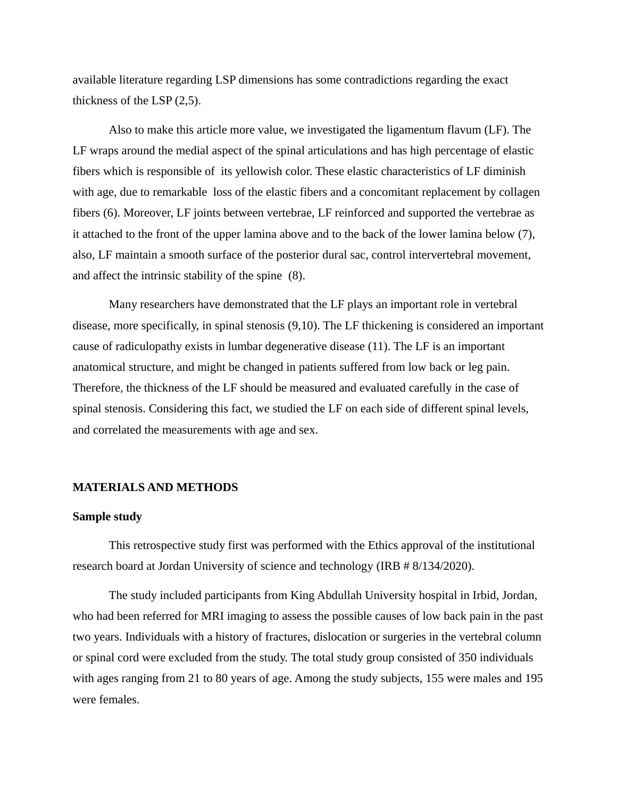available literature regarding LSP dimensions has some contradictions regarding the exact thickness of the LSP (2,5).

Also to make this article more value, we investigated the ligamentum flavum (LF). The LF wraps around the medial aspect of the spinal articulations and has high percentage of elastic fibers which is responsible of its yellowish color. These elastic characteristics of LF diminish with age, due to remarkable loss of the elastic fibers and a concomitant replacement by collagen fibers (6). Moreover, LF joints between vertebrae, LF reinforced and supported the vertebrae as it attached to the front of the upper lamina above and to the back of the lower lamina below (7), also, LF maintain a smooth surface of the posterior dural sac, control intervertebral movement, and affect the intrinsic stability of the spine (8).

Many researchers have demonstrated that the LF plays an important role in vertebral disease, more specifically, in spinal stenosis (9,10). The LF thickening is considered an important cause of radiculopathy exists in lumbar degenerative disease (11). The LF is an important anatomical structure, and might be changed in patients suffered from low back or leg pain. Therefore, the thickness of the LF should be measured and evaluated carefully in the case of spinal stenosis. Considering this fact, we studied the LF on each side of different spinal levels, and correlated the measurements with age and sex.

#### **MATERIALS AND METHODS**

#### **Sample study**

This retrospective study first was performed with the Ethics approval of the institutional research board at Jordan University of science and technology (IRB # 8/134/2020).

The study included participants from King Abdullah University hospital in Irbid, Jordan, who had been referred for MRI imaging to assess the possible causes of low back pain in the past two years. Individuals with a history of fractures, dislocation or surgeries in the vertebral column or spinal cord were excluded from the study. The total study group consisted of 350 individuals with ages ranging from 21 to 80 years of age. Among the study subjects, 155 were males and 195 were females.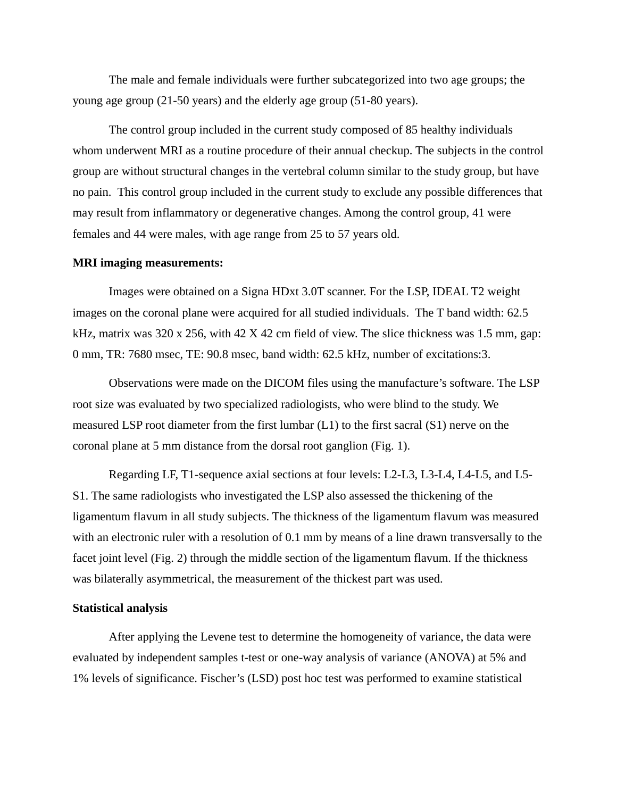The male and female individuals were further subcategorized into two age groups; the young age group (21-50 years) and the elderly age group (51-80 years).

The control group included in the current study composed of 85 healthy individuals whom underwent MRI as a routine procedure of their annual checkup. The subjects in the control group are without structural changes in the vertebral column similar to the study group, but have no pain. This control group included in the current study to exclude any possible differences that may result from inflammatory or degenerative changes. Among the control group, 41 were females and 44 were males, with age range from 25 to 57 years old.

#### **MRI imaging measurements:**

Images were obtained on a Signa HDxt 3.0T scanner. For the LSP, IDEAL T2 weight images on the coronal plane were acquired for all studied individuals. The T band width: 62.5 kHz, matrix was 320 x 256, with 42 X 42 cm field of view. The slice thickness was 1.5 mm, gap: 0 mm, TR: 7680 msec, TE: 90.8 msec, band width: 62.5 kHz, number of excitations:3.

Observations were made on the DICOM files using the manufacture's software. The LSP root size was evaluated by two specialized radiologists, who were blind to the study. We measured LSP root diameter from the first lumbar (L1) to the first sacral (S1) nerve on the coronal plane at 5 mm distance from the dorsal root ganglion (Fig. 1).

Regarding LF, T1-sequence axial sections at four levels: L2-L3, L3-L4, L4-L5, and L5- S1. The same radiologists who investigated the LSP also assessed the thickening of the ligamentum flavum in all study subjects. The thickness of the ligamentum flavum was measured with an electronic ruler with a resolution of 0.1 mm by means of a line drawn transversally to the facet joint level (Fig. 2) through the middle section of the ligamentum flavum. If the thickness was bilaterally asymmetrical, the measurement of the thickest part was used.

#### **Statistical analysis**

After applying the Levene test to determine the homogeneity of variance, the data were evaluated by independent samples t-test or one-way analysis of variance (ANOVA) at 5% and 1% levels of significance. Fischer's (LSD) post hoc test was performed to examine statistical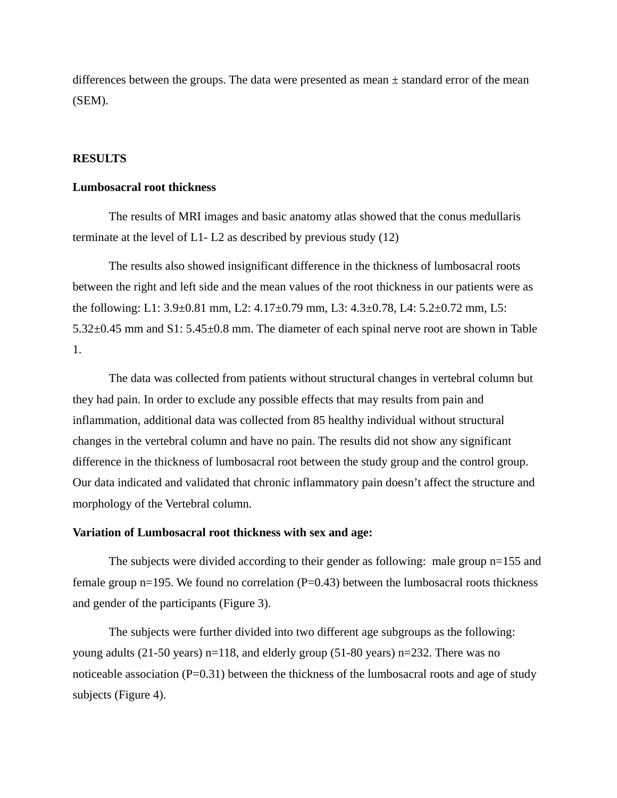differences between the groups. The data were presented as mean  $\pm$  standard error of the mean (SEM).

#### **RESULTS**

#### **Lumbosacral root thickness**

The results of MRI images and basic anatomy atlas showed that the conus medullaris terminate at the level of L1- L2 as described by previous study (12)

The results also showed insignificant difference in the thickness of lumbosacral roots between the right and left side and the mean values of the root thickness in our patients were as the following: L1: 3.9±0.81 mm, L2: 4.17±0.79 mm, L3: 4.3±0.78, L4: 5.2±0.72 mm, L5: 5.32±0.45 mm and S1: 5.45±0.8 mm. The diameter of each spinal nerve root are shown in Table 1.

The data was collected from patients without structural changes in vertebral column but they had pain. In order to exclude any possible effects that may results from pain and inflammation, additional data was collected from 85 healthy individual without structural changes in the vertebral column and have no pain. The results did not show any significant difference in the thickness of lumbosacral root between the study group and the control group. Our data indicated and validated that chronic inflammatory pain doesn't affect the structure and morphology of the Vertebral column.

#### **Variation of Lumbosacral root thickness with sex and age:**

The subjects were divided according to their gender as following: male group n=155 and female group  $n=195$ . We found no correlation ( $P=0.43$ ) between the lumbosacral roots thickness and gender of the participants (Figure 3).

The subjects were further divided into two different age subgroups as the following: young adults (21-50 years) n=118, and elderly group (51-80 years) n=232. There was no noticeable association ( $P=0.31$ ) between the thickness of the lumbosacral roots and age of study subjects (Figure 4).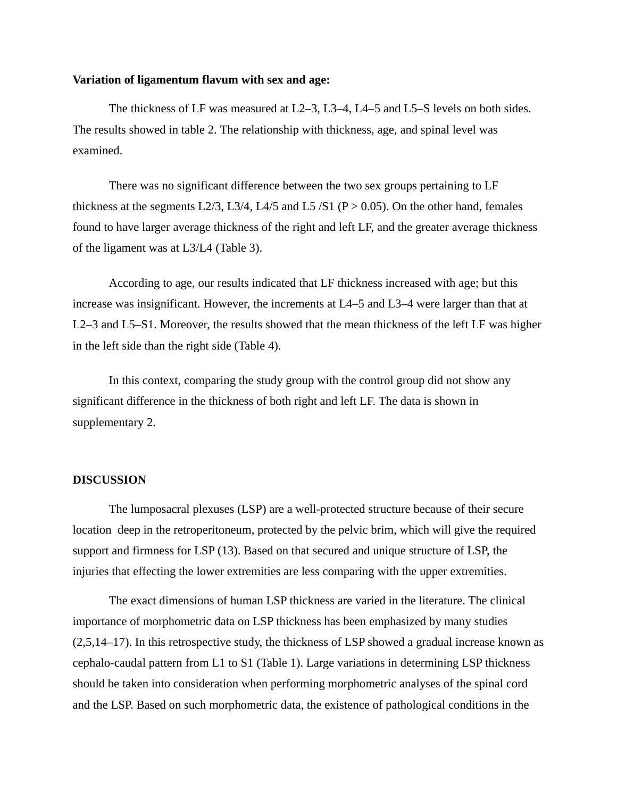#### **Variation of ligamentum flavum with sex and age:**

The thickness of LF was measured at L2–3, L3–4, L4–5 and L5–S levels on both sides. The results showed in table 2. The relationship with thickness, age, and spinal level was examined.

There was no significant difference between the two sex groups pertaining to LF thickness at the segments L2/3, L3/4, L4/5 and L5 /S1 ( $P > 0.05$ ). On the other hand, females found to have larger average thickness of the right and left LF, and the greater average thickness of the ligament was at L3/L4 (Table 3).

According to age, our results indicated that LF thickness increased with age; but this increase was insignificant. However, the increments at L4–5 and L3–4 were larger than that at L2–3 and L5–S1. Moreover, the results showed that the mean thickness of the left LF was higher in the left side than the right side (Table 4).

In this context, comparing the study group with the control group did not show any significant difference in the thickness of both right and left LF. The data is shown in supplementary 2.

#### **DISCUSSION**

The lumposacral plexuses (LSP) are a well-protected structure because of their secure location deep in the retroperitoneum, protected by the pelvic brim, which will give the required support and firmness for LSP (13). Based on that secured and unique structure of LSP, the injuries that effecting the lower extremities are less comparing with the upper extremities.

The exact dimensions of human LSP thickness are varied in the literature. The clinical importance of morphometric data on LSP thickness has been emphasized by many studies (2,5,14–17). In this retrospective study, the thickness of LSP showed a gradual increase known as cephalo-caudal pattern from L1 to S1 (Table 1). Large variations in determining LSP thickness should be taken into consideration when performing morphometric analyses of the spinal cord and the LSP. Based on such morphometric data, the existence of pathological conditions in the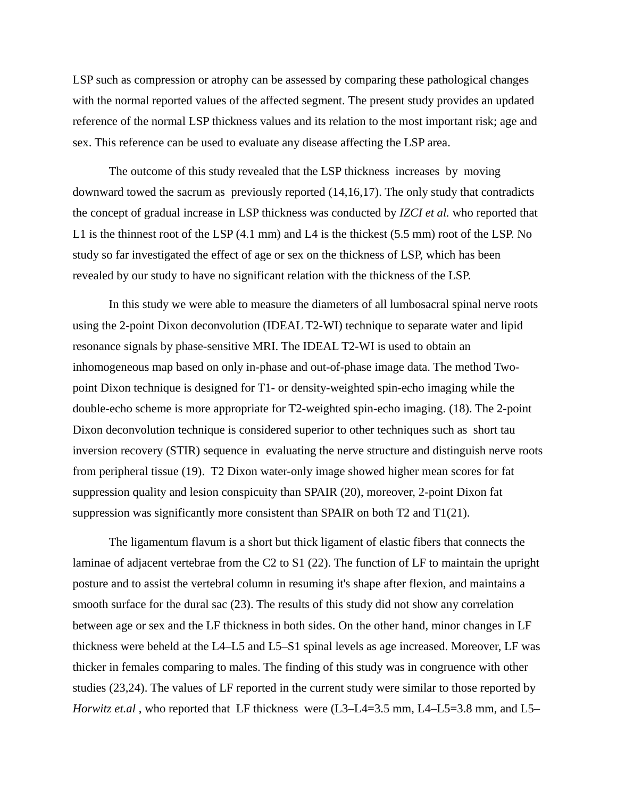LSP such as compression or atrophy can be assessed by comparing these pathological changes with the normal reported values of the affected segment. The present study provides an updated reference of the normal LSP thickness values and its relation to the most important risk; age and sex. This reference can be used to evaluate any disease affecting the LSP area.

The outcome of this study revealed that the LSP thickness increases by moving downward towed the sacrum as previously reported (14,16,17). The only study that contradicts the concept of gradual increase in LSP thickness was conducted by *IZCI et al.* who reported that L1 is the thinnest root of the LSP (4.1 mm) and L4 is the thickest (5.5 mm) root of the LSP. No study so far investigated the effect of age or sex on the thickness of LSP, which has been revealed by our study to have no significant relation with the thickness of the LSP.

In this study we were able to measure the diameters of all lumbosacral spinal nerve roots using the 2-point Dixon deconvolution (IDEAL T2-WI) technique to separate water and lipid resonance signals by phase-sensitive MRI. The IDEAL T2-WI is used to obtain an inhomogeneous map based on only in-phase and out-of-phase image data. The method Twopoint Dixon technique is designed for T1- or density-weighted spin-echo imaging while the double-echo scheme is more appropriate for T2-weighted spin-echo imaging. (18). The 2-point Dixon deconvolution technique is considered superior to other techniques such as short tau inversion recovery (STIR) sequence in evaluating the nerve structure and distinguish nerve roots from peripheral tissue (19). T2 Dixon water-only image showed higher mean scores for fat suppression quality and lesion conspicuity than SPAIR (20), moreover, 2-point Dixon fat suppression was significantly more consistent than SPAIR on both T2 and T1(21).

The ligamentum flavum is a short but thick ligament of elastic fibers that connects the laminae of adjacent vertebrae from the C2 to S1 (22). The function of LF to maintain the upright posture and to assist the vertebral column in resuming it's shape after flexion, and maintains a smooth surface for the dural sac (23). The results of this study did not show any correlation between age or sex and the LF thickness in both sides. On the other hand, minor changes in LF thickness were beheld at the L4–L5 and L5–S1 spinal levels as age increased. Moreover, LF was thicker in females comparing to males. The finding of this study was in congruence with other studies (23,24). The values of LF reported in the current study were similar to those reported by *Horwitz et.al* , who reported that LF thickness were (L3–L4=3.5 mm, L4–L5=3.8 mm, and L5–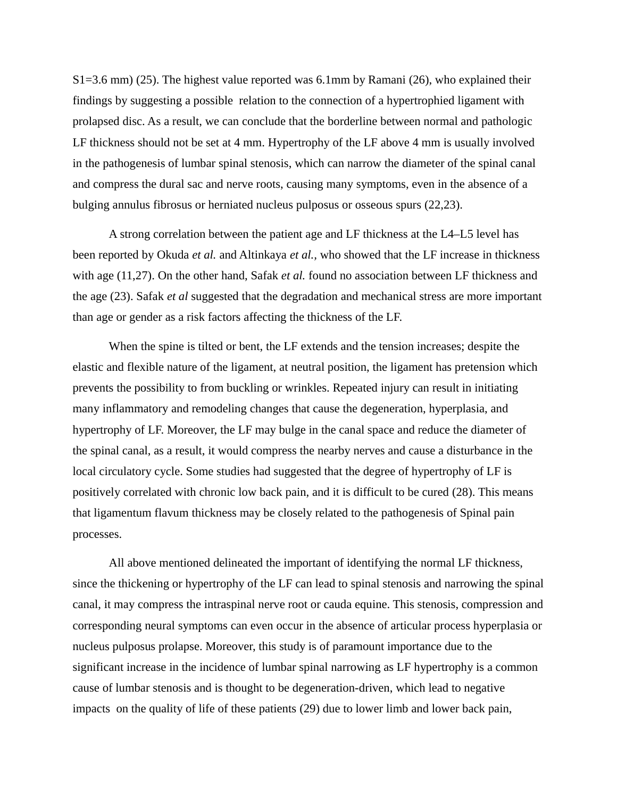S1=3.6 mm) (25). The highest value reported was 6.1mm by Ramani (26), who explained their findings by suggesting a possible relation to the connection of a hypertrophied ligament with prolapsed disc. As a result, we can conclude that the borderline between normal and pathologic LF thickness should not be set at 4 mm. Hypertrophy of the LF above 4 mm is usually involved in the pathogenesis of lumbar spinal stenosis, which can narrow the diameter of the spinal canal and compress the dural sac and nerve roots, causing many symptoms, even in the absence of a bulging annulus fibrosus or herniated nucleus pulposus or osseous spurs (22,23).

A strong correlation between the patient age and LF thickness at the L4–L5 level has been reported by Okuda *et al.* and Altinkaya *et al.,* who showed that the LF increase in thickness with age (11,27). On the other hand, Safak *et al.* found no association between LF thickness and the age (23). Safak *et al* suggested that the degradation and mechanical stress are more important than age or gender as a risk factors affecting the thickness of the LF.

When the spine is tilted or bent, the LF extends and the tension increases; despite the elastic and flexible nature of the ligament, at neutral position, the ligament has pretension which prevents the possibility to from buckling or wrinkles. Repeated injury can result in initiating many inflammatory and remodeling changes that cause the degeneration, hyperplasia, and hypertrophy of LF. Moreover, the LF may bulge in the canal space and reduce the diameter of the spinal canal, as a result, it would compress the nearby nerves and cause a disturbance in the local circulatory cycle. Some studies had suggested that the degree of hypertrophy of LF is positively correlated with chronic low back pain, and it is difficult to be cured (28). This means that ligamentum flavum thickness may be closely related to the pathogenesis of Spinal pain processes.

All above mentioned delineated the important of identifying the normal LF thickness, since the thickening or hypertrophy of the LF can lead to spinal stenosis and narrowing the spinal canal, it may compress the intraspinal nerve root or cauda equine. This stenosis, compression and corresponding neural symptoms can even occur in the absence of articular process hyperplasia or nucleus pulposus prolapse. Moreover, this study is of paramount importance due to the significant increase in the incidence of lumbar spinal narrowing as LF hypertrophy is a common cause of lumbar stenosis and is thought to be degeneration-driven, which lead to negative impacts on the quality of life of these patients (29) due to lower limb and lower back pain,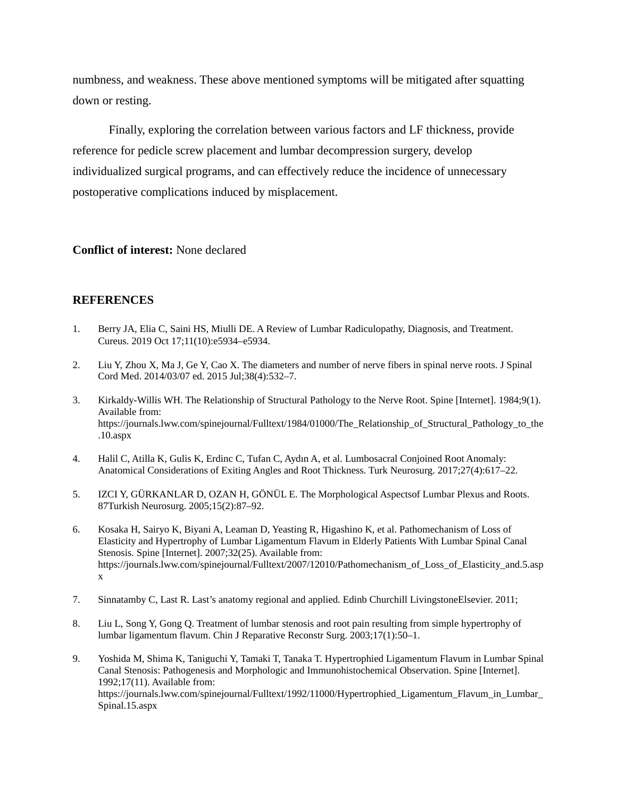numbness, and weakness. These above mentioned symptoms will be mitigated after squatting down or resting.

Finally, exploring the correlation between various factors and LF thickness, provide reference for pedicle screw placement and lumbar decompression surgery, develop individualized surgical programs, and can effectively reduce the incidence of unnecessary postoperative complications induced by misplacement.

#### **Conflict of interest:** None declared

#### **REFERENCES**

- 1. Berry JA, Elia C, Saini HS, Miulli DE. A Review of Lumbar Radiculopathy, Diagnosis, and Treatment. Cureus. 2019 Oct 17;11(10):e5934–e5934.
- 2. Liu Y, Zhou X, Ma J, Ge Y, Cao X. The diameters and number of nerve fibers in spinal nerve roots. J Spinal Cord Med. 2014/03/07 ed. 2015 Jul;38(4):532–7.
- 3. Kirkaldy-Willis WH. The Relationship of Structural Pathology to the Nerve Root. Spine [Internet]. 1984;9(1). Available from: https://journals.lww.com/spinejournal/Fulltext/1984/01000/The\_Relationship\_of\_Structural\_Pathology\_to\_the .10.aspx
- 4. Halil C, Atilla K, Gulis K, Erdinc C, Tufan C, Aydın A, et al. Lumbosacral Conjoined Root Anomaly: Anatomical Considerations of Exiting Angles and Root Thickness. Turk Neurosurg. 2017;27(4):617–22.
- 5. IZCI Y, GÜRKANLAR D, OZAN H, GÖNÜL E. The Morphological Aspectsof Lumbar Plexus and Roots. 87Turkish Neurosurg. 2005;15(2):87–92.
- 6. Kosaka H, Sairyo K, Biyani A, Leaman D, Yeasting R, Higashino K, et al. Pathomechanism of Loss of Elasticity and Hypertrophy of Lumbar Ligamentum Flavum in Elderly Patients With Lumbar Spinal Canal Stenosis. Spine [Internet]. 2007;32(25). Available from: https://journals.lww.com/spinejournal/Fulltext/2007/12010/Pathomechanism\_of\_Loss\_of\_Elasticity\_and.5.asp x
- 7. Sinnatamby C, Last R. Last's anatomy regional and applied. Edinb Churchill LivingstoneElsevier. 2011;
- 8. Liu L, Song Y, Gong Q. Treatment of lumbar stenosis and root pain resulting from simple hypertrophy of lumbar ligamentum flavum. Chin J Reparative Reconstr Surg. 2003;17(1):50–1.
- 9. Yoshida M, Shima K, Taniguchi Y, Tamaki T, Tanaka T. Hypertrophied Ligamentum Flavum in Lumbar Spinal Canal Stenosis: Pathogenesis and Morphologic and Immunohistochemical Observation. Spine [Internet]. 1992;17(11). Available from: https://journals.lww.com/spinejournal/Fulltext/1992/11000/Hypertrophied\_Ligamentum\_Flavum\_in\_Lumbar\_ Spinal.15.aspx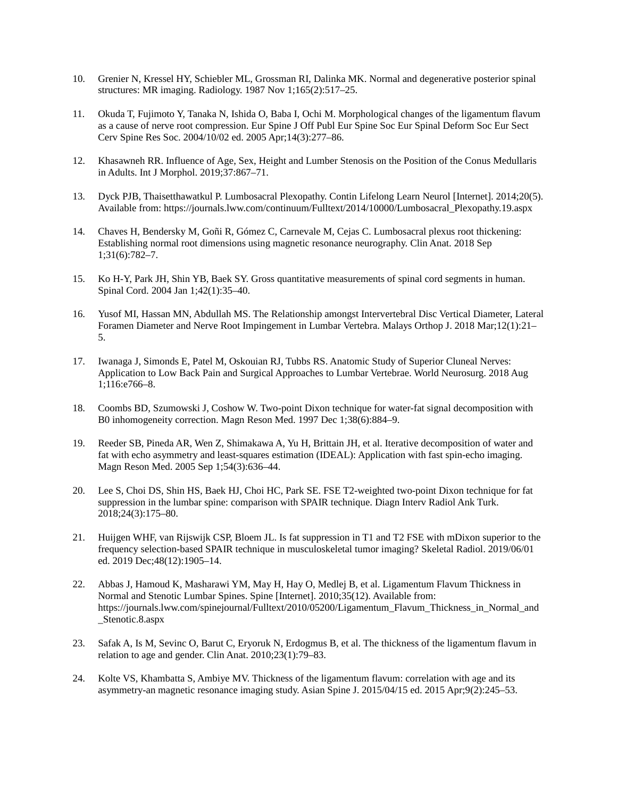- 10. Grenier N, Kressel HY, Schiebler ML, Grossman RI, Dalinka MK. Normal and degenerative posterior spinal structures: MR imaging. Radiology. 1987 Nov 1;165(2):517–25.
- 11. Okuda T, Fujimoto Y, Tanaka N, Ishida O, Baba I, Ochi M. Morphological changes of the ligamentum flavum as a cause of nerve root compression. Eur Spine J Off Publ Eur Spine Soc Eur Spinal Deform Soc Eur Sect Cerv Spine Res Soc. 2004/10/02 ed. 2005 Apr;14(3):277–86.
- 12. Khasawneh RR. Influence of Age, Sex, Height and Lumber Stenosis on the Position of the Conus Medullaris in Adults. Int J Morphol. 2019;37:867–71.
- 13. Dyck PJB, Thaisetthawatkul P. Lumbosacral Plexopathy. Contin Lifelong Learn Neurol [Internet]. 2014;20(5). Available from: https://journals.lww.com/continuum/Fulltext/2014/10000/Lumbosacral\_Plexopathy.19.aspx
- 14. Chaves H, Bendersky M, Goñi R, Gómez C, Carnevale M, Cejas C. Lumbosacral plexus root thickening: Establishing normal root dimensions using magnetic resonance neurography. Clin Anat. 2018 Sep 1;31(6):782–7.
- 15. Ko H-Y, Park JH, Shin YB, Baek SY. Gross quantitative measurements of spinal cord segments in human. Spinal Cord. 2004 Jan 1;42(1):35–40.
- 16. Yusof MI, Hassan MN, Abdullah MS. The Relationship amongst Intervertebral Disc Vertical Diameter, Lateral Foramen Diameter and Nerve Root Impingement in Lumbar Vertebra. Malays Orthop J. 2018 Mar;12(1):21– 5.
- 17. Iwanaga J, Simonds E, Patel M, Oskouian RJ, Tubbs RS. Anatomic Study of Superior Cluneal Nerves: Application to Low Back Pain and Surgical Approaches to Lumbar Vertebrae. World Neurosurg. 2018 Aug 1;116:e766–8.
- 18. Coombs BD, Szumowski J, Coshow W. Two-point Dixon technique for water-fat signal decomposition with B0 inhomogeneity correction. Magn Reson Med. 1997 Dec 1;38(6):884–9.
- 19. Reeder SB, Pineda AR, Wen Z, Shimakawa A, Yu H, Brittain JH, et al. Iterative decomposition of water and fat with echo asymmetry and least-squares estimation (IDEAL): Application with fast spin-echo imaging. Magn Reson Med. 2005 Sep 1;54(3):636–44.
- 20. Lee S, Choi DS, Shin HS, Baek HJ, Choi HC, Park SE. FSE T2-weighted two-point Dixon technique for fat suppression in the lumbar spine: comparison with SPAIR technique. Diagn Interv Radiol Ank Turk. 2018;24(3):175–80.
- 21. Huijgen WHF, van Rijswijk CSP, Bloem JL. Is fat suppression in T1 and T2 FSE with mDixon superior to the frequency selection-based SPAIR technique in musculoskeletal tumor imaging? Skeletal Radiol. 2019/06/01 ed. 2019 Dec;48(12):1905–14.
- 22. Abbas J, Hamoud K, Masharawi YM, May H, Hay O, Medlej B, et al. Ligamentum Flavum Thickness in Normal and Stenotic Lumbar Spines. Spine [Internet]. 2010;35(12). Available from: https://journals.lww.com/spinejournal/Fulltext/2010/05200/Ligamentum\_Flavum\_Thickness\_in\_Normal\_and \_Stenotic.8.aspx
- 23. Safak A, Is M, Sevinc O, Barut C, Eryoruk N, Erdogmus B, et al. The thickness of the ligamentum flavum in relation to age and gender. Clin Anat. 2010;23(1):79–83.
- 24. Kolte VS, Khambatta S, Ambiye MV. Thickness of the ligamentum flavum: correlation with age and its asymmetry-an magnetic resonance imaging study. Asian Spine J. 2015/04/15 ed. 2015 Apr;9(2):245–53.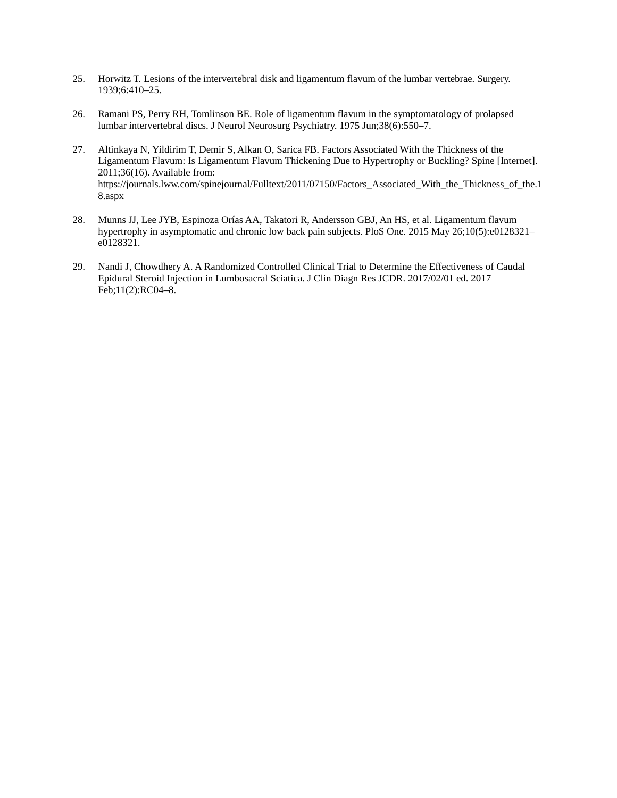- 25. Horwitz T. Lesions of the intervertebral disk and ligamentum flavum of the lumbar vertebrae. Surgery. 1939;6:410–25.
- 26. Ramani PS, Perry RH, Tomlinson BE. Role of ligamentum flavum in the symptomatology of prolapsed lumbar intervertebral discs. J Neurol Neurosurg Psychiatry. 1975 Jun;38(6):550–7.
- 27. Altinkaya N, Yildirim T, Demir S, Alkan O, Sarica FB. Factors Associated With the Thickness of the Ligamentum Flavum: Is Ligamentum Flavum Thickening Due to Hypertrophy or Buckling? Spine [Internet]. 2011;36(16). Available from: https://journals.lww.com/spinejournal/Fulltext/2011/07150/Factors\_Associated\_With\_the\_Thickness\_of\_the.1 8.aspx
- 28. Munns JJ, Lee JYB, Espinoza Orías AA, Takatori R, Andersson GBJ, An HS, et al. Ligamentum flavum hypertrophy in asymptomatic and chronic low back pain subjects. PloS One. 2015 May 26;10(5):e0128321– e0128321.
- 29. Nandi J, Chowdhery A. A Randomized Controlled Clinical Trial to Determine the Effectiveness of Caudal Epidural Steroid Injection in Lumbosacral Sciatica. J Clin Diagn Res JCDR. 2017/02/01 ed. 2017 Feb;11(2):RC04–8.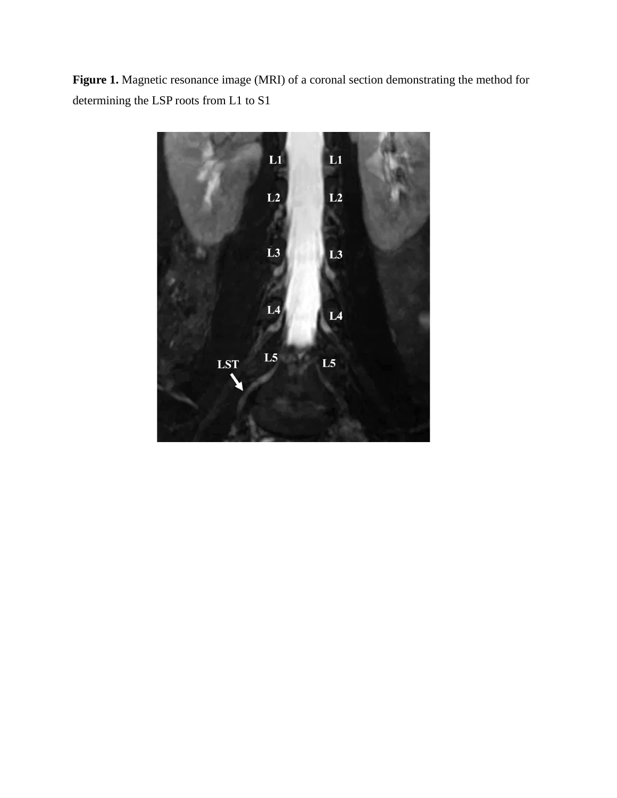**Figure 1.** Magnetic resonance image (MRI) of a coronal section demonstrating the method for determining the LSP roots from L1 to S1

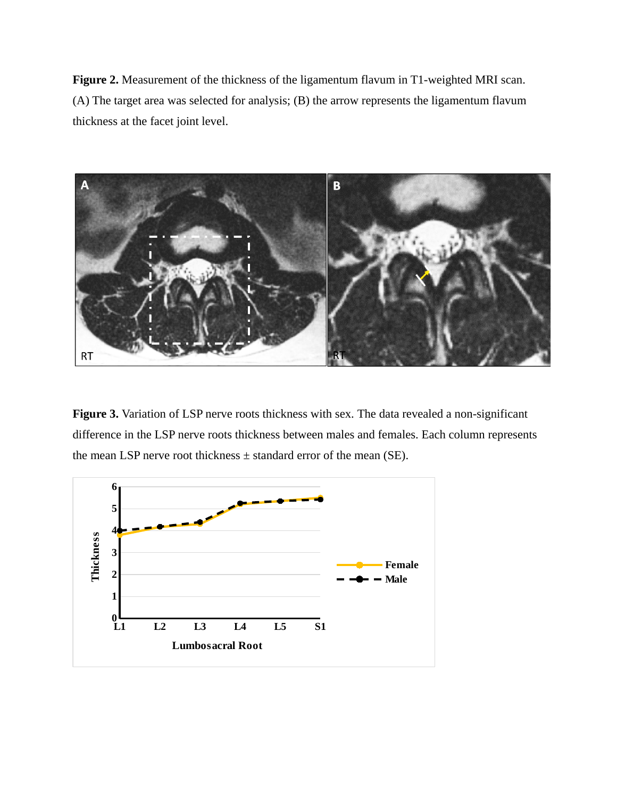**Figure 2.** Measurement of the thickness of the ligamentum flavum in T1-weighted MRI scan. (A) The target area was selected for analysis; (B) the arrow represents the ligamentum flavum thickness at the facet joint level.



**Figure 3.** Variation of LSP nerve roots thickness with sex. The data revealed a non-significant difference in the LSP nerve roots thickness between males and females. Each column represents the mean LSP nerve root thickness  $\pm$  standard error of the mean (SE).

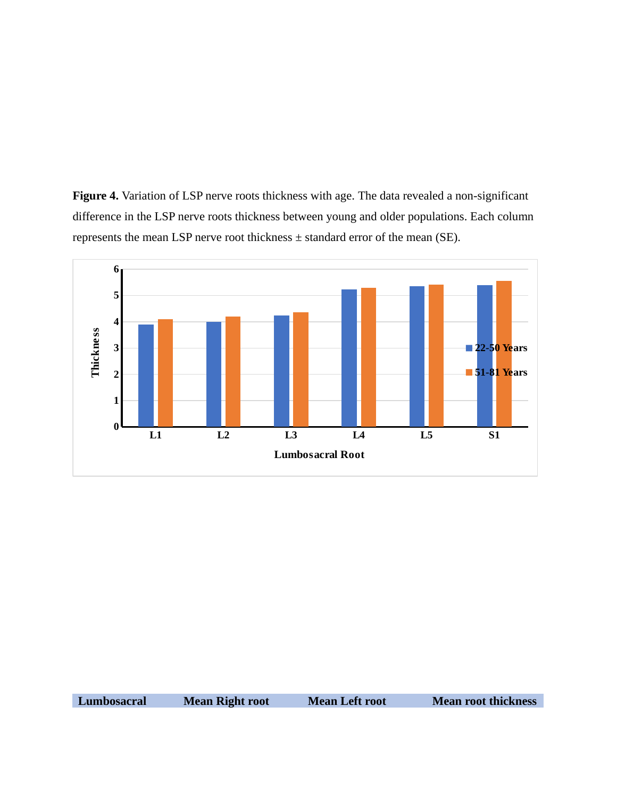**Figure 4.** Variation of LSP nerve roots thickness with age. The data revealed a non-significant difference in the LSP nerve roots thickness between young and older populations. Each column represents the mean LSP nerve root thickness ± standard error of the mean (SE).



**Lumbosacral Mean Right root Mean Left root Mean root thickness**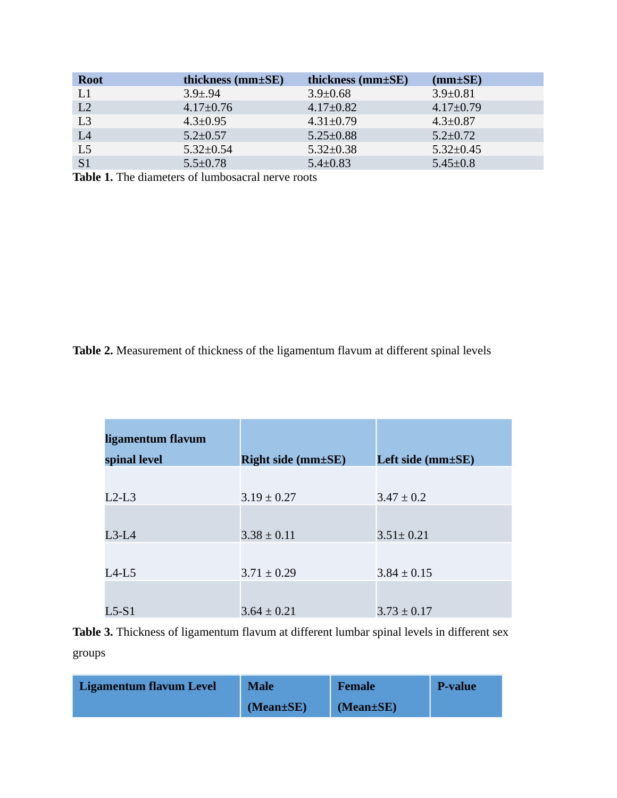| <b>Root</b>    | thickness (mm±SE) | thickness ( $mm\pm$ SE) | $(mm \pm SE)$   |
|----------------|-------------------|-------------------------|-----------------|
| L1             | $3.9 \pm .94$     | $3.9 \pm 0.68$          | $3.9 \pm 0.81$  |
| L <sub>2</sub> | $4.17 \pm 0.76$   | $4.17 \pm 0.82$         | $4.17 \pm 0.79$ |
| L <sub>3</sub> | $4.3 \pm 0.95$    | $4.31 \pm 0.79$         | $4.3 \pm 0.87$  |
| L4             | $5.2 \pm 0.57$    | $5.25 \pm 0.88$         | $5.2 \pm 0.72$  |
| L <sub>5</sub> | $5.32 \pm 0.54$   | $5.32 \pm 0.38$         | $5.32 \pm 0.45$ |
| S <sub>1</sub> | $5.5 \pm 0.78$    | $5.4 \pm 0.83$          | $5.45 \pm 0.8$  |

**Table 1.** The diameters of lumbosacral nerve roots

**Table 2.** Measurement of thickness of the ligamentum flavum at different spinal levels

| ligamentum flavum |                                  |                   |
|-------------------|----------------------------------|-------------------|
| spinal level      | <b>Right side (mm</b> \times\$E) | Left side (mm±SE) |
|                   |                                  |                   |
| $L2-L3$           | $3.19 \pm 0.27$                  | $3.47 \pm 0.2$    |
|                   |                                  |                   |
| $L3-L4$           | $3.38 \pm 0.11$                  | $3.51 \pm 0.21$   |
|                   |                                  |                   |
| $L4-L5$           | $3.71 \pm 0.29$                  | $3.84 \pm 0.15$   |
|                   |                                  |                   |
| $L5-S1$           | $3.64 \pm 0.21$                  | $3.73 \pm 0.17$   |

**Table 3.** Thickness of ligamentum flavum at different lumbar spinal levels in different sex groups

| <b>Ligamentum flavum Level</b> | <b>Male</b>     | <b>Female</b>   | P-value |
|--------------------------------|-----------------|-----------------|---------|
|                                | $(Mean \pm SE)$ | $(Mean \pm SE)$ |         |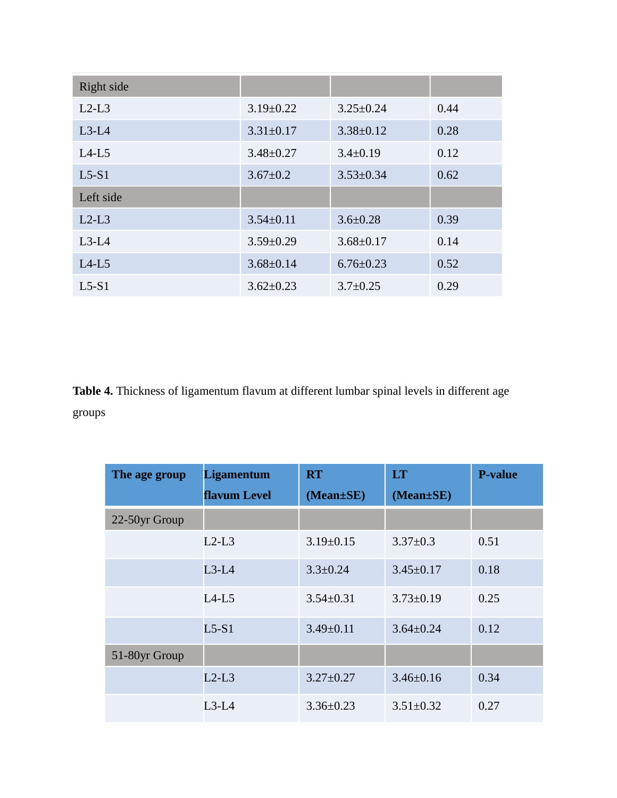| <b>Right side</b> |                 |                 |      |
|-------------------|-----------------|-----------------|------|
| $L2-L3$           | $3.19 \pm 0.22$ | $3.25 \pm 0.24$ | 0.44 |
| $L3-L4$           | $3.31 \pm 0.17$ | $3.38 \pm 0.12$ | 0.28 |
| $L4-L5$           | $3.48 \pm 0.27$ | $3.4 \pm 0.19$  | 0.12 |
| $L5-S1$           | $3.67 \pm 0.2$  | $3.53 \pm 0.34$ | 0.62 |
| Left side         |                 |                 |      |
| $L2-L3$           | $3.54 \pm 0.11$ | $3.6 \pm 0.28$  | 0.39 |
| $L3-L4$           | $3.59 \pm 0.29$ | $3.68 \pm 0.17$ | 0.14 |
| $L4-L5$           | $3.68 \pm 0.14$ | $6.76 \pm 0.23$ | 0.52 |
| $L5-S1$           | $3.62 \pm 0.23$ | $3.7 \pm 0.25$  | 0.29 |

**Table 4.** Thickness of ligamentum flavum at different lumbar spinal levels in different age groups

| The age group | <b>Ligamentum</b>   | <b>RT</b>       | LT              | <b>P-value</b> |
|---------------|---------------------|-----------------|-----------------|----------------|
|               | <b>flavum Level</b> | (Mean±SE)       | (Mean±SE)       |                |
| 22-50yr Group |                     |                 |                 |                |
|               | $L2-L3$             | $3.19 \pm 0.15$ | $3.37 \pm 0.3$  | 0.51           |
|               | $L3-L4$             | $3.3 \pm 0.24$  | $3.45 \pm 0.17$ | 0.18           |
|               | $L4-L5$             | $3.54 \pm 0.31$ | $3.73 \pm 0.19$ | 0.25           |
|               | $L5-S1$             | $3.49 \pm 0.11$ | $3.64 \pm 0.24$ | 0.12           |
| 51-80yr Group |                     |                 |                 |                |
|               | $L2-L3$             | $3.27 \pm 0.27$ | $3.46 \pm 0.16$ | 0.34           |
|               | L3-L4               | $3.36 \pm 0.23$ | $3.51 \pm 0.32$ | 0.27           |